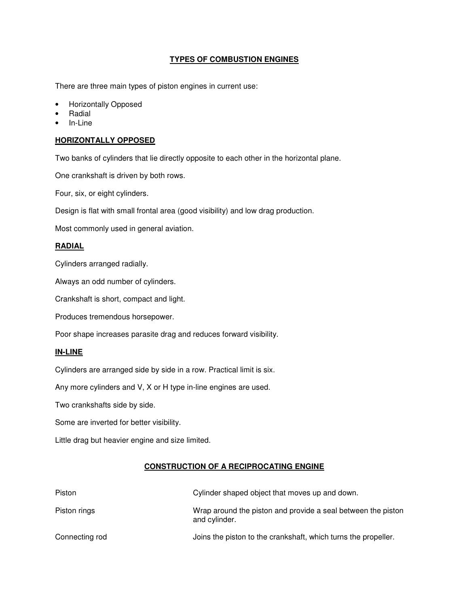# **TYPES OF COMBUSTION ENGINES**

There are three main types of piston engines in current use:

- Horizontally Opposed
- **Radial**
- In-Line

### **HORIZONTALLY OPPOSED**

Two banks of cylinders that lie directly opposite to each other in the horizontal plane.

One crankshaft is driven by both rows.

Four, six, or eight cylinders.

Design is flat with small frontal area (good visibility) and low drag production.

Most commonly used in general aviation.

### **RADIAL**

Cylinders arranged radially.

Always an odd number of cylinders.

Crankshaft is short, compact and light.

Produces tremendous horsepower.

Poor shape increases parasite drag and reduces forward visibility.

#### **IN-LINE**

Cylinders are arranged side by side in a row. Practical limit is six.

Any more cylinders and V, X or H type in-line engines are used.

Two crankshafts side by side.

Some are inverted for better visibility.

Little drag but heavier engine and size limited.

#### **CONSTRUCTION OF A RECIPROCATING ENGINE**

| Piston         | Cylinder shaped object that moves up and down.                                |
|----------------|-------------------------------------------------------------------------------|
| Piston rings   | Wrap around the piston and provide a seal between the piston<br>and cylinder. |
| Connecting rod | Joins the piston to the crankshaft, which turns the propeller.                |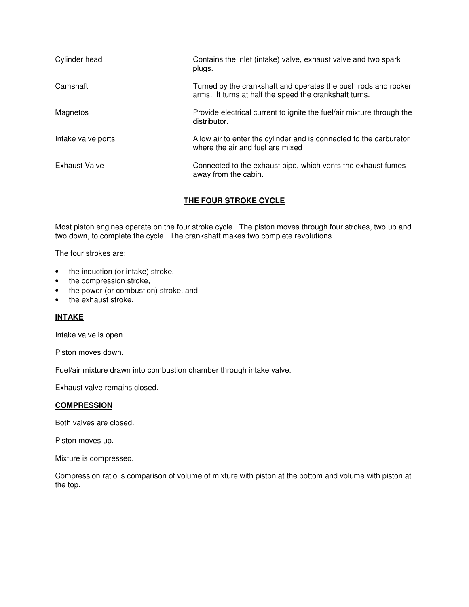| Cylinder head        | Contains the inlet (intake) valve, exhaust valve and two spark<br>plugs.                                                 |
|----------------------|--------------------------------------------------------------------------------------------------------------------------|
| Camshaft             | Turned by the crankshaft and operates the push rods and rocker<br>arms. It turns at half the speed the crankshaft turns. |
| Magnetos             | Provide electrical current to ignite the fuel/air mixture through the<br>distributor.                                    |
| Intake valve ports   | Allow air to enter the cylinder and is connected to the carburetor<br>where the air and fuel are mixed                   |
| <b>Exhaust Valve</b> | Connected to the exhaust pipe, which vents the exhaust fumes<br>away from the cabin.                                     |

# **THE FOUR STROKE CYCLE**

Most piston engines operate on the four stroke cycle. The piston moves through four strokes, two up and two down, to complete the cycle. The crankshaft makes two complete revolutions.

The four strokes are:

- the induction (or intake) stroke,
- the compression stroke,
- the power (or combustion) stroke, and
- the exhaust stroke.

### **INTAKE**

Intake valve is open.

Piston moves down.

Fuel/air mixture drawn into combustion chamber through intake valve.

Exhaust valve remains closed.

#### **COMPRESSION**

Both valves are closed.

Piston moves up.

Mixture is compressed.

Compression ratio is comparison of volume of mixture with piston at the bottom and volume with piston at the top.